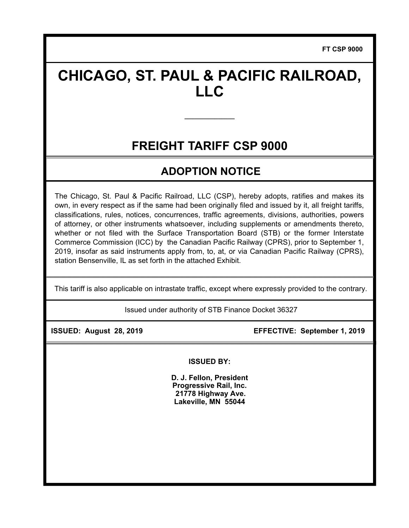**FT CSP 9000**

# **CHICAGO, ST. PAUL & PACIFIC RAILROAD, LLC**

## **FREIGHT TARIFF CSP 9000**

**\_\_\_\_\_\_\_\_\_\_\_\_\_\_\_** 

### **ADOPTION NOTICE**

The Chicago, St. Paul & Pacific Railroad, LLC (CSP), hereby adopts, ratifies and makes its own, in every respect as if the same had been originally filed and issued by it, all freight tariffs, classifications, rules, notices, concurrences, traffic agreements, divisions, authorities, powers of attorney, or other instruments whatsoever, including supplements or amendments thereto, whether or not filed with the Surface Transportation Board (STB) or the former Interstate Commerce Commission (ICC) by the Canadian Pacific Railway (CPRS), prior to September 1, 2019, insofar as said instruments apply from, to, at, or via Canadian Pacific Railway (CPRS), station Bensenville, IL as set forth in the attached Exhibit.

This tariff is also applicable on intrastate traffic, except where expressly provided to the contrary.

Issued under authority of STB Finance Docket 36327

 **ISSUED: August 28, 2019 EFFECTIVE: September 1, 2019** 

**ISSUED BY:** 

**D. J. Fellon, President Progressive Rail, Inc. 21778 Highway Ave. Lakeville, MN 55044**